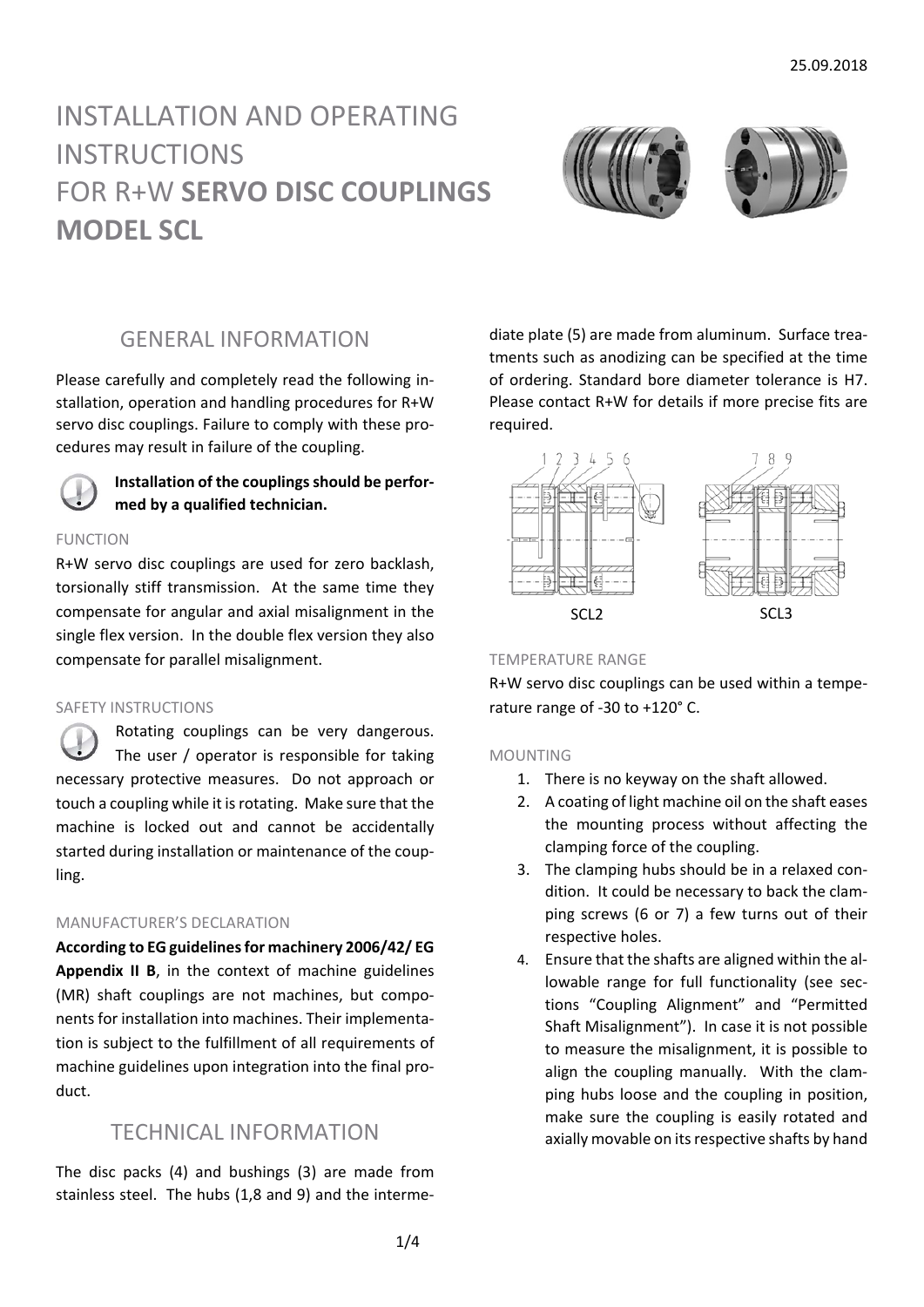# INSTALLATION AND OPERATING **INSTRUCTIONS** FOR R+W **SERVO DISC COUPLINGS MODEL SCL**



# GENERAL INFORMATION

Please carefully and completely read the following in‐ stallation, operation and handling procedures for R+W servo disc couplings. Failure to comply with these pro‐ cedures may result in failure of the coupling.



**Installation of the couplings should be performed by a qualified technician.**

### FUNCTION

R+W servo disc couplings are used for zero backlash, torsionally stiff transmission. At the same time they compensate for angular and axial misalignment in the single flex version. In the double flex version they also compensate for parallel misalignment.

#### SAFETY INSTRUCTIONS

Rotating couplings can be very dangerous. The user / operator is responsible for taking necessary protective measures. Do not approach or touch a coupling while it is rotating. Make sure that the machine is locked out and cannot be accidentally started during installation or maintenance of the coup‐ ling.

### MANUFACTURER'S DECLARATION

**According to EG guidelinesfor machinery 2006/42/ EG Appendix II B**, in the context of machine guidelines (MR) shaft couplings are not machines, but components for installation into machines. Their implementation is subject to the fulfillment of all requirements of machine guidelines upon integration into the final pro‐ duct.

### TECHNICAL INFORMATION

The disc packs (4) and bushings (3) are made from stainless steel. The hubs (1,8 and 9) and the interme‐ diate plate (5) are made from aluminum. Surface trea‐ tments such as anodizing can be specified at the time of ordering. Standard bore diameter tolerance is H7. Please contact R+W for details if more precise fits are required.



### TEMPERATURE RANGE

R+W servo disc couplings can be used within a tempe‐ rature range of ‐30 to +120° C.

#### MOUNTING

- 1. There is no keyway on the shaft allowed.
- 2. A coating of light machine oil on the shaft eases the mounting process without affecting the clamping force of the coupling.
- 3. The clamping hubs should be in a relaxed con‐ dition. It could be necessary to back the clam‐ ping screws (6 or 7) a few turns out of their respective holes.
- 4. Ensure that the shafts are aligned within the al‐ lowable range for full functionality (see sec‐ tions "Coupling Alignment" and "Permitted Shaft Misalignment"). In case it is not possible to measure the misalignment, it is possible to align the coupling manually. With the clamping hubs loose and the coupling in position, make sure the coupling is easily rotated and axially movable on its respective shafts by hand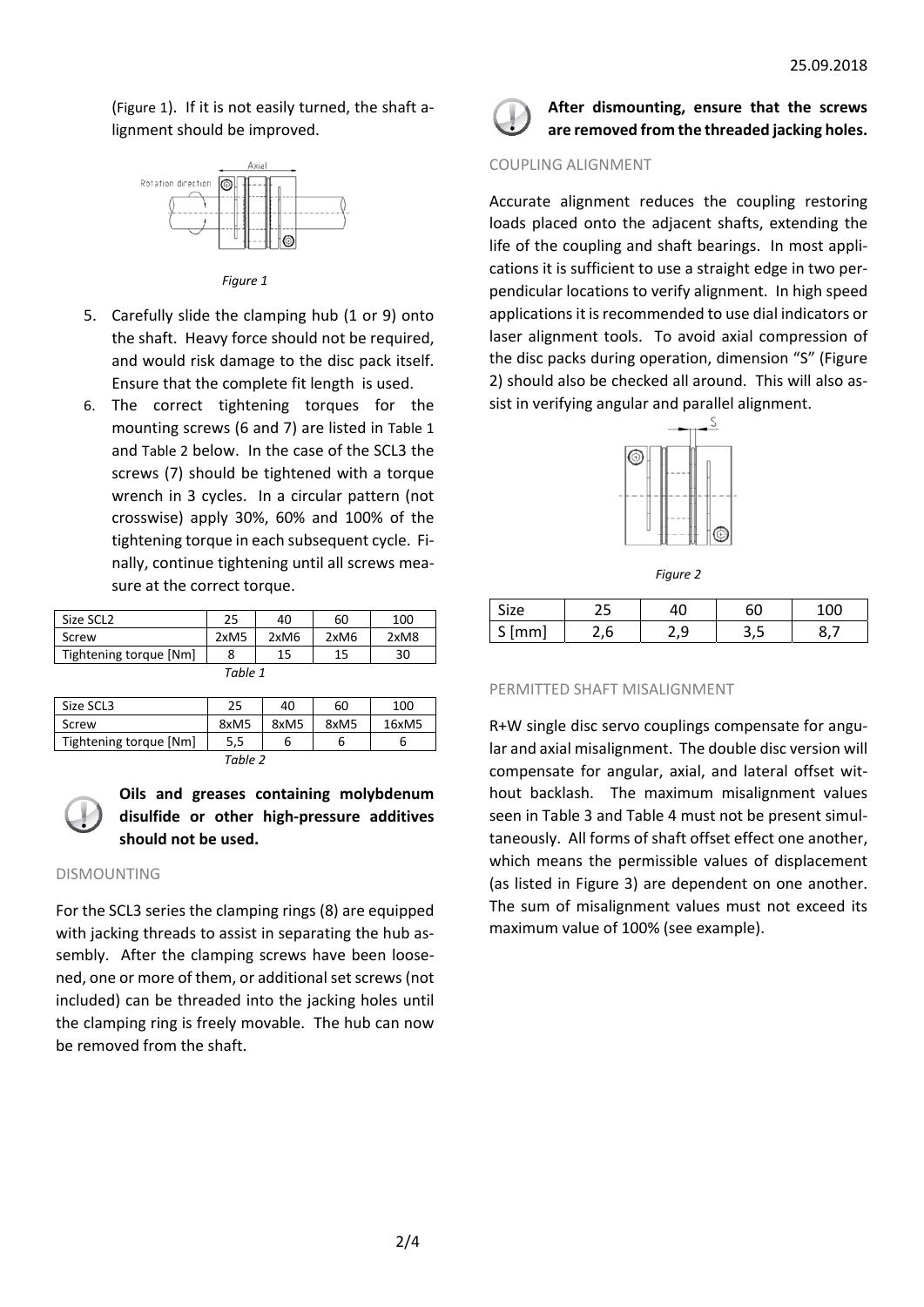(Figure 1). If it is not easily turned, the shaft a‐ lignment should be improved.



*Figure 1*

- 5. Carefully slide the clamping hub (1 or 9) onto the shaft. Heavy force should not be required, and would risk damage to the disc pack itself. Ensure that the complete fit length is used.
- 6. The correct tightening torques for the mounting screws (6 and 7) are listed in Table 1 and Table 2 below. In the case of the SCL3 the screws (7) should be tightened with a torque wrench in 3 cycles. In a circular pattern (not crosswise) apply 30%, 60% and 100% of the tightening torque in each subsequent cycle. Fi‐ nally, continue tightening until all screws mea‐ sure at the correct torque.

| Size SCL <sub>2</sub>  | 25   | 40   | 60   | 100  |  |  |
|------------------------|------|------|------|------|--|--|
| Screw                  | 2xM5 | 2xM6 | 2xM6 | 2xM8 |  |  |
| Tightening torque [Nm] | 8    | 15   | 15   | 30   |  |  |
| Table 1                |      |      |      |      |  |  |

| Size SCL3              | 25   | 40   | 60   | 100   |  |  |
|------------------------|------|------|------|-------|--|--|
| Screw                  | 8xM5 | 8xM5 | 8xM5 | 16xM5 |  |  |
| Tightening torque [Nm] | 5,5  |      |      |       |  |  |
| $T = L I - T$          |      |      |      |       |  |  |

*Table 2*



### **Oils and greases containing molybdenum disulfide or other high‐pressure additives should not be used.**

#### DISMOUNTING

For the SCL3 series the clamping rings (8) are equipped with jacking threads to assist in separating the hub assembly. After the clamping screws have been loosened, one or more of them, or additional set screws (not included) can be threaded into the jacking holes until the clamping ring is freely movable. The hub can now be removed from the shaft.



**After dismounting, ensure that the screws are removed from the threaded jacking holes.**

#### COUPLING ALIGNMENT

Accurate alignment reduces the coupling restoring loads placed onto the adjacent shafts, extending the life of the coupling and shaft bearings. In most appli‐ cations it is sufficient to use a straight edge in two per‐ pendicular locations to verify alignment. In high speed applications it is recommended to use dial indicators or laser alignment tools. To avoid axial compression of the disc packs during operation, dimension "S" (Figure 2) should also be checked all around. This will also as‐ sist in verifying angular and parallel alignment.



*Figure 2*

| .∠e      | -- |   | 6C |  |
|----------|----|---|----|--|
| mm<br>سه |    | . |    |  |

#### PERMITTED SHAFT MISALIGNMENT

R+W single disc servo couplings compensate for angu‐ lar and axial misalignment. The double disc version will compensate for angular, axial, and lateral offset wit‐ hout backlash. The maximum misalignment values seen in Table 3 and Table 4 must not be present simul‐ taneously. All forms of shaft offset effect one another, which means the permissible values of displacement (as listed in Figure 3) are dependent on one another. The sum of misalignment values must not exceed its maximum value of 100% (see example).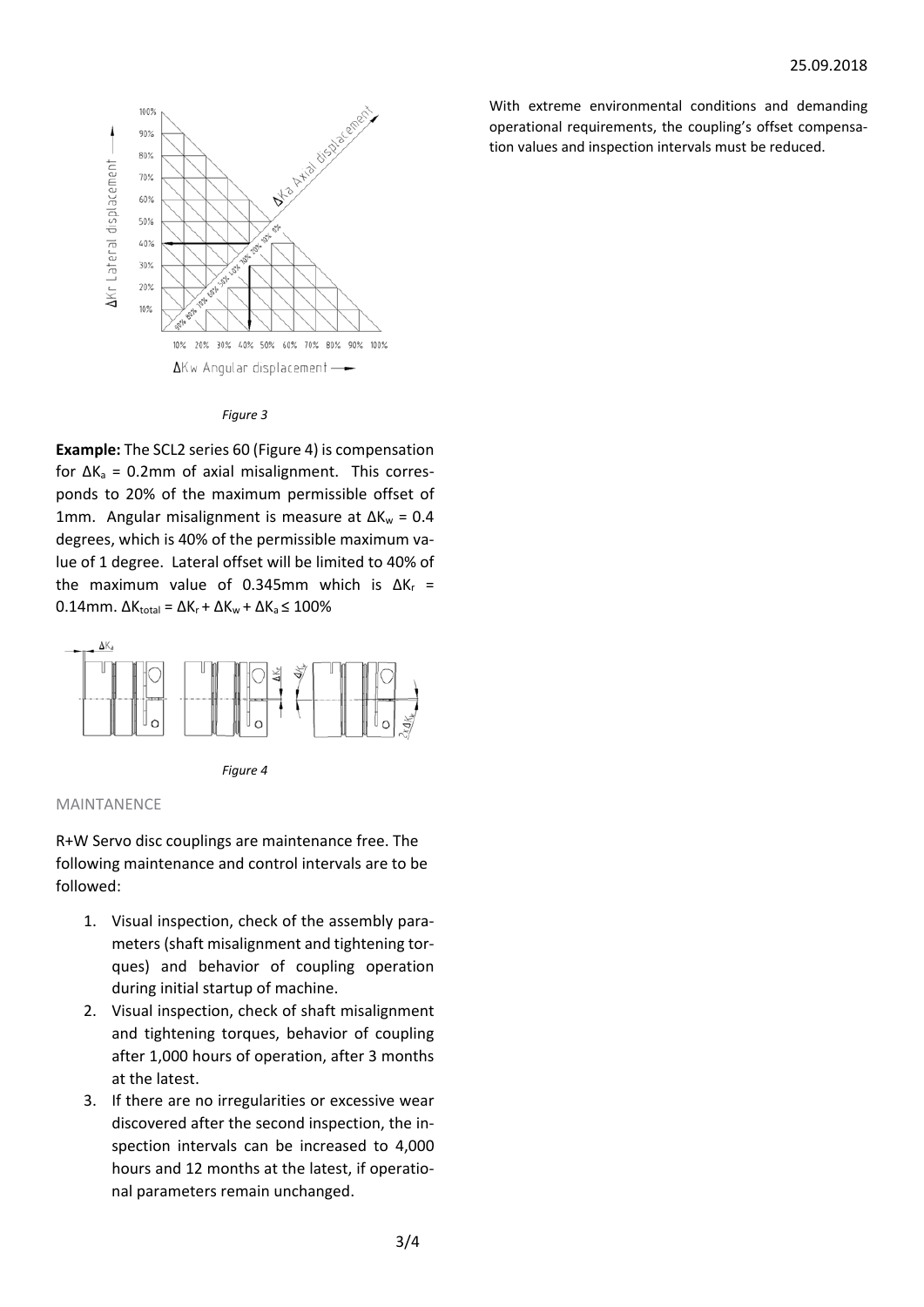

#### *Figure 3*

**Example:** The SCL2 series 60 (Figure 4) is compensation for  $\Delta K_a = 0.2$ mm of axial misalignment. This corresponds to 20% of the maximum permissible offset of 1mm. Angular misalignment is measure at ΔK<sub>w</sub> = 0.4 degrees, which is 40% of the permissible maximum va‐ lue of 1 degree. Lateral offset will be limited to 40% of the maximum value of 0.345mm which is ΔK<sub>r</sub> =  $0.14$ mm.  $\Delta K_{\text{total}} = \Delta K_r + \Delta K_w + \Delta K_a \leq 100\%$ 





#### MAINTANENCE

R+W Servo disc couplings are maintenance free. The following maintenance and control intervals are to be followed:

- 1. Visual inspection, check of the assembly para‐ meters (shaft misalignment and tightening tor‐ ques) and behavior of coupling operation during initial startup of machine.
- 2. Visual inspection, check of shaft misalignment and tightening torques, behavior of coupling after 1,000 hours of operation, after 3 months at the latest.
- 3. If there are no irregularities or excessive wear discovered after the second inspection, the in‐ spection intervals can be increased to 4,000 hours and 12 months at the latest, if operatio‐ nal parameters remain unchanged.

With extreme environmental conditions and demanding operational requirements, the coupling's offset compensa‐ tion values and inspection intervals must be reduced.